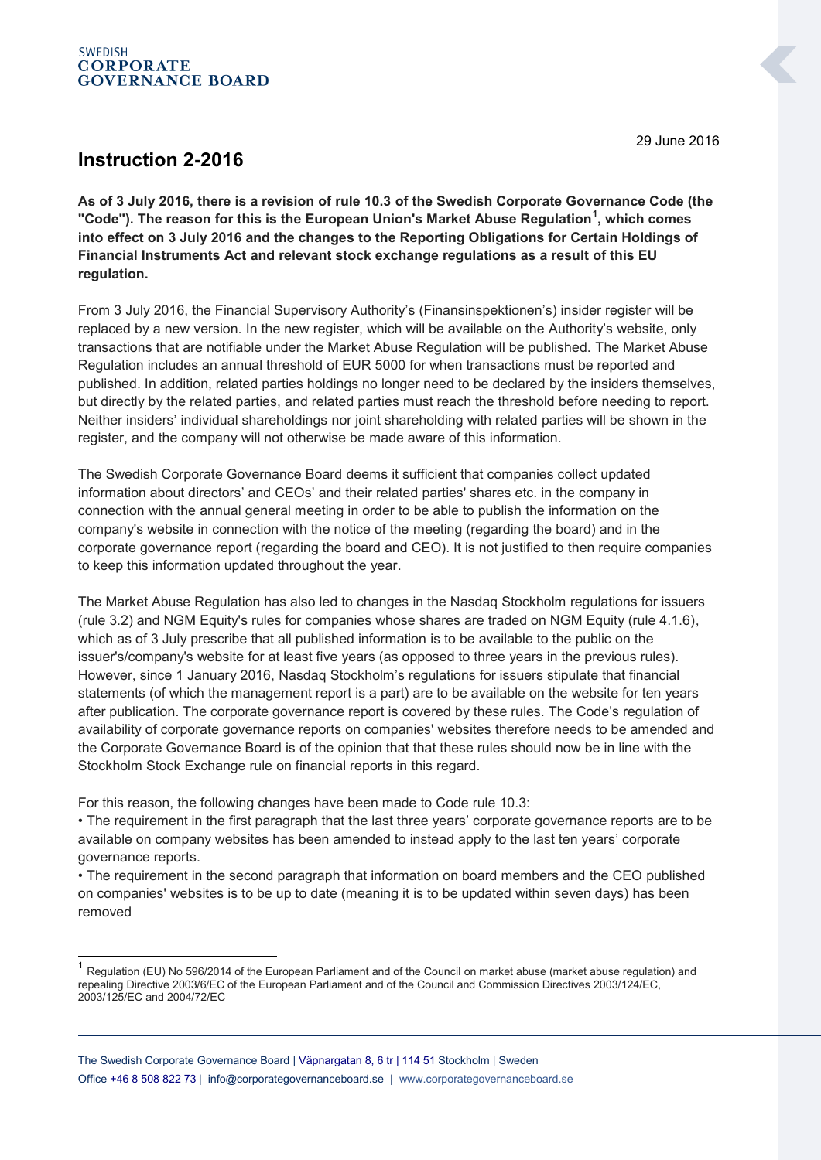## **SWEDISH CORPORATE GOVERNANCE BOARD**

**Instruction 2-2016**

-

**As of 3 July 2016, there is a revision of rule 10.3 of the Swedish Corporate Governance Code (the "Code"). The reason for this is the European Union's Market Abuse Regulation<sup>1</sup> , which comes into effect on 3 July 2016 and the changes to the Reporting Obligations for Certain Holdings of Financial Instruments Act and relevant stock exchange regulations as a result of this EU regulation.**

From 3 July 2016, the Financial Supervisory Authority's (Finansinspektionen's) insider register will be replaced by a new version. In the new register, which will be available on the Authority's website, only transactions that are notifiable under the Market Abuse Regulation will be published. The Market Abuse Regulation includes an annual threshold of EUR 5000 for when transactions must be reported and published. In addition, related parties holdings no longer need to be declared by the insiders themselves, but directly by the related parties, and related parties must reach the threshold before needing to report. Neither insiders' individual shareholdings nor joint shareholding with related parties will be shown in the register, and the company will not otherwise be made aware of this information.

The Swedish Corporate Governance Board deems it sufficient that companies collect updated information about directors' and CEOs' and their related parties' shares etc. in the company in connection with the annual general meeting in order to be able to publish the information on the company's website in connection with the notice of the meeting (regarding the board) and in the corporate governance report (regarding the board and CEO). It is not justified to then require companies to keep this information updated throughout the year.

The Market Abuse Regulation has also led to changes in the Nasdaq Stockholm regulations for issuers (rule 3.2) and NGM Equity's rules for companies whose shares are traded on NGM Equity (rule 4.1.6), which as of 3 July prescribe that all published information is to be available to the public on the issuer's/company's website for at least five years (as opposed to three years in the previous rules). However, since 1 January 2016, Nasdaq Stockholm's regulations for issuers stipulate that financial statements (of which the management report is a part) are to be available on the website for ten years after publication. The corporate governance report is covered by these rules. The Code's regulation of availability of corporate governance reports on companies' websites therefore needs to be amended and the Corporate Governance Board is of the opinion that that these rules should now be in line with the Stockholm Stock Exchange rule on financial reports in this regard.

For this reason, the following changes have been made to Code rule 10.3:

• The requirement in the first paragraph that the last three years' corporate governance reports are to be available on company websites has been amended to instead apply to the last ten years' corporate governance reports.

• The requirement in the second paragraph that information on board members and the CEO published on companies' websites is to be up to date (meaning it is to be updated within seven days) has been removed

29 June 2016

<sup>&</sup>lt;sup>1</sup> Regulation (EU) No 596/2014 of the European Parliament and of the Council on market abuse (market abuse regulation) and repealing Directive 2003/6/EC of the European Parliament and of the Council and Commission Directives 2003/124/EC, 2003/125/EC and 2004/72/EC